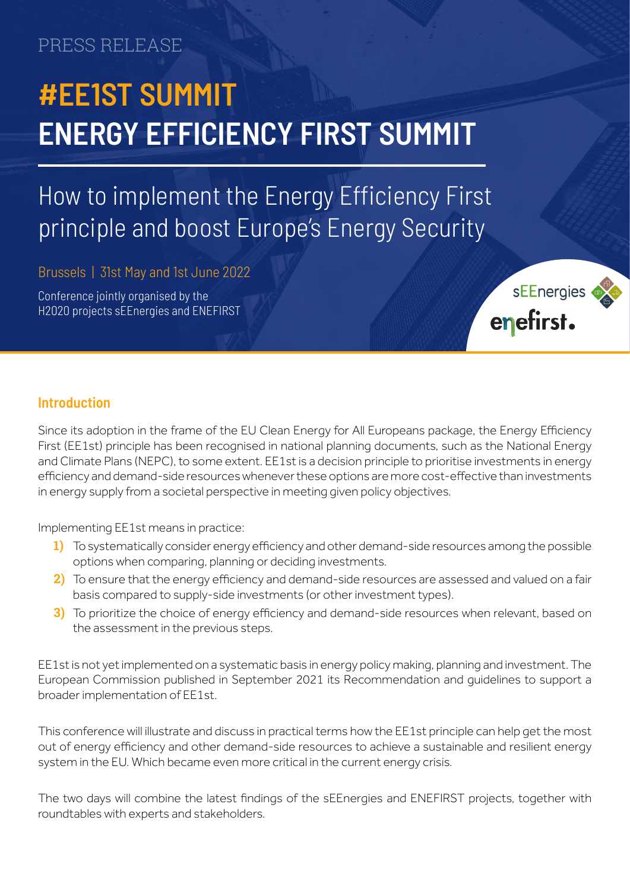### PRESS RELEASE

# **#EE1ST SUMMIT ENERGY EFFICIENCY FIRST SUMMIT**

## How to implement the Energy Efficiency First principle and boost Europe's Energy Security

Brussels | 31st May and 1st June 2022

Conference jointly organised by the H2020 projects sEEnergies and ENEFIRST



#### **Introduction**

Since its adoption in the frame of the EU Clean Energy for All Europeans package, the Energy Efficiency First (EE1st) principle has been recognised in national planning documents, such as the National Energy and Climate Plans (NEPC), to some extent. EE1st is a decision principle to prioritise investments in energy efficiency and demand-side resources whenever these options are more cost-effective than investments in energy supply from a societal perspective in meeting given policy objectives.

Implementing EE1st means in practice:

- **1)** To systematically consider energy efficiency and other demand-side resources among the possible options when comparing, planning or deciding investments.
- **2)** To ensure that the energy efficiency and demand-side resources are assessed and valued on a fair basis compared to supply-side investments (or other investment types).
- **3)** To prioritize the choice of energy efficiency and demand-side resources when relevant, based on the assessment in the previous steps.

EE1st is not yet implemented on a systematic basis in energy policy making, planning and investment. The European Commission published in September 2021 its Recommendation and guidelines to support a broader implementation of EE1st.

This conference will illustrate and discuss in practical terms how the EE1st principle can help get the most out of energy efficiency and other demand-side resources to achieve a sustainable and resilient energy system in the EU. Which became even more critical in the current energy crisis.

The two days will combine the latest findings of the sEEnergies and ENEFIRST projects, together with roundtables with experts and stakeholders.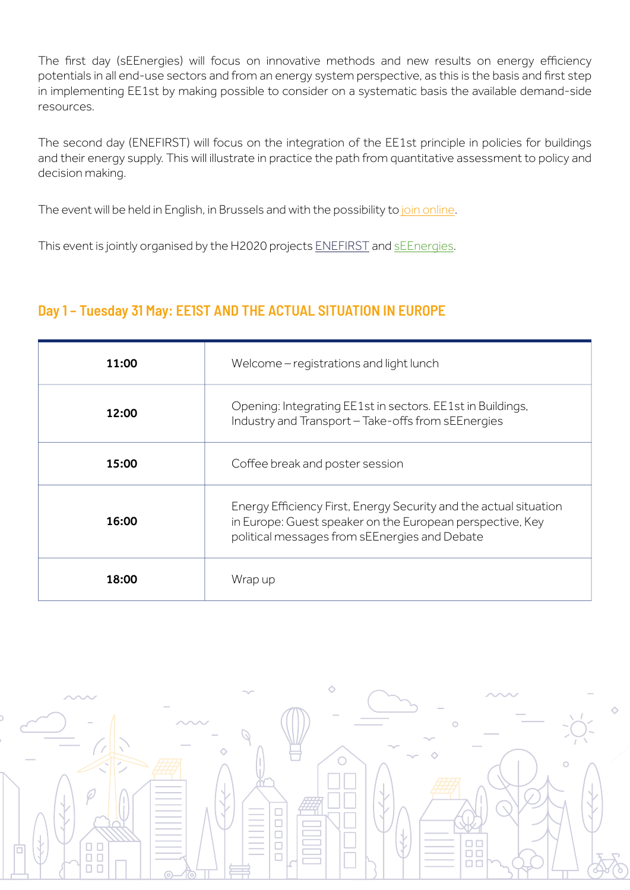The first day (sEEnergies) will focus on innovative methods and new results on energy efficiency potentials in all end-use sectors and from an energy system perspective, as this is the basis and first step in implementing EE1st by making possible to consider on a systematic basis the available demand-side resources.

The second day (ENEFIRST) will focus on the integration of the EE1st principle in policies for buildings and their energy supply. This will illustrate in practice the path from quantitative assessment to policy and decision making.

The event will be held in English, in Brussels and with the possibility to [join online.](https://www.eventbrite.com/e/energy-efficiency-first-summit-tickets-324165256007?utm-campaign=social&utm-content=attendeeshare&utm-medium=discovery&utm-term=listing&utm-source=cp&aff=escb)

This event is jointly organised by the H2020 projects [ENEFIRST](https://enefirst.eu/) and [sEEnergies.](https://www.seenergies.eu/)

#### **Day 1 – Tuesday 31 May: EE1ST AND THE ACTUAL SITUATION IN EUROPE**

| 11:00 | Welcome – registrations and light lunch                                                                                                                                         |
|-------|---------------------------------------------------------------------------------------------------------------------------------------------------------------------------------|
| 12:00 | Opening: Integrating EE1st in sectors. EE1st in Buildings,<br>Industry and Transport - Take-offs from sEEnergies                                                                |
| 15:00 | Coffee break and poster session                                                                                                                                                 |
| 16:00 | Energy Efficiency First, Energy Security and the actual situation<br>in Europe: Guest speaker on the European perspective, Key<br>political messages from sEEnergies and Debate |
| 18:00 | Wrap up                                                                                                                                                                         |